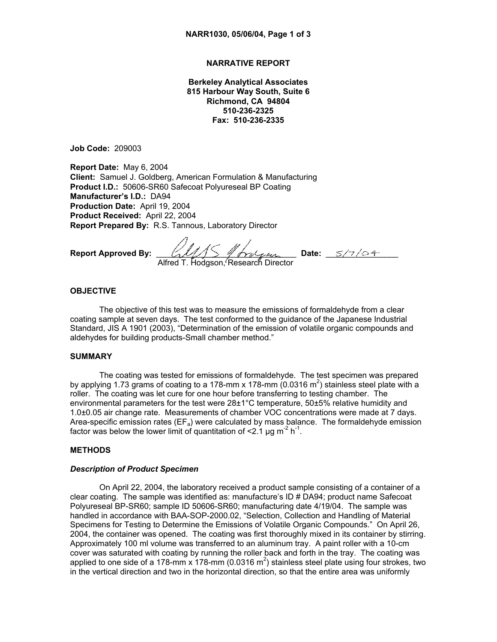## **NARRATIVE REPORT**

**Berkeley Analytical Associates 815 Harbour Way South, Suite 6 Richmond, CA 94804 510-236-2325 Fax: 510-236-2335** 

**Job Code:** 209003

**Report Date:** May 6, 2004 **Client:** Samuel J. Goldberg, American Formulation & Manufacturing **Product I.D.:** 50606-SR60 Safecoat Polyureseal BP Coating **Manufacturer's I.D.:** DA94 **Production Date:** April 19, 2004 **Product Received:** April 22, 2004 **Report Prepared By:** R.S. Tannous, Laboratory Director

**Report Approved By:** \_\_\_\_\_\_\_\_\_\_\_\_\_\_\_\_\_\_\_\_\_\_\_\_\_\_\_\_\_\_\_ **Date:** \_\_\_\_\_\_\_\_\_\_\_\_\_\_\_\_ Alfred T. Hodgson, Research Director

# **OBJECTIVE**

The objective of this test was to measure the emissions of formaldehyde from a clear coating sample at seven days. The test conformed to the guidance of the Japanese Industrial Standard, JIS A 1901 (2003), "Determination of the emission of volatile organic compounds and aldehydes for building products-Small chamber method."

### **SUMMARY**

The coating was tested for emissions of formaldehyde. The test specimen was prepared by applying 1.73 grams of coating to a 178-mm x 178-mm (0.0316 m<sup>2</sup>) stainless steel plate with a roller. The coating was let cure for one hour before transferring to testing chamber. The environmental parameters for the test were 28±1°C temperature, 50±5% relative humidity and 1.0±0.05 air change rate. Measurements of chamber VOC concentrations were made at 7 days. Area-specific emission rates ( $E_{a}$ ) were calculated by mass balance. The formaldehyde emission factor was below the lower limit of quantitation of  $\leq 2.1 \,\mu g \, \text{m}^{-2} \, \text{h}^{-1}$ .

#### **METHODS**

## *Description of Product Specimen*

On April 22, 2004, the laboratory received a product sample consisting of a container of a clear coating. The sample was identified as: manufacture's ID # DA94; product name Safecoat Polyureseal BP-SR60; sample ID 50606-SR60; manufacturing date 4/19/04. The sample was handled in accordance with BAA-SOP-2000.02, "Selection, Collection and Handling of Material Specimens for Testing to Determine the Emissions of Volatile Organic Compounds." On April 26, 2004, the container was opened. The coating was first thoroughly mixed in its container by stirring. Approximately 100 ml volume was transferred to an aluminum tray. A paint roller with a 10-cm cover was saturated with coating by running the roller back and forth in the tray. The coating was applied to one side of a 178-mm x 178-mm (0.0316 m<sup>2</sup>) stainless steel plate using four strokes, two in the vertical direction and two in the horizontal direction, so that the entire area was uniformly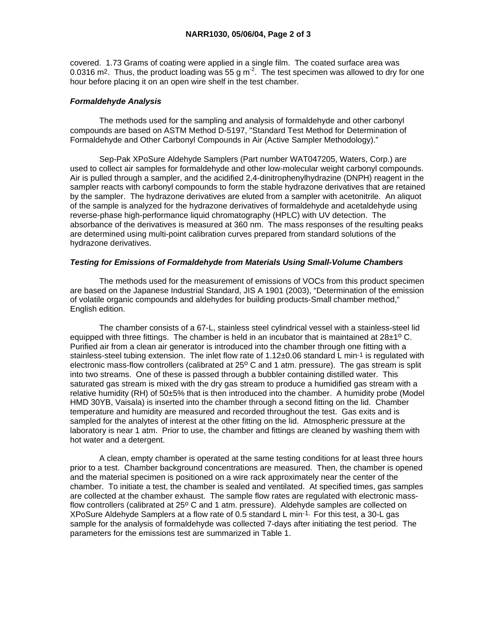covered. 1.73 Grams of coating were applied in a single film. The coated surface area was 0.0316 m<sup>2</sup>. Thus, the product loading was 55 g m<sup>-2</sup>. The test specimen was allowed to dry for one hour before placing it on an open wire shelf in the test chamber.

## *Formaldehyde Analysis*

 The methods used for the sampling and analysis of formaldehyde and other carbonyl compounds are based on ASTM Method D-5197, "Standard Test Method for Determination of Formaldehyde and Other Carbonyl Compounds in Air (Active Sampler Methodology)."

 Sep-Pak XPoSure Aldehyde Samplers (Part number WAT047205, Waters, Corp.) are used to collect air samples for formaldehyde and other low-molecular weight carbonyl compounds. Air is pulled through a sampler, and the acidified 2,4-dinitrophenylhydrazine (DNPH) reagent in the sampler reacts with carbonyl compounds to form the stable hydrazone derivatives that are retained by the sampler. The hydrazone derivatives are eluted from a sampler with acetonitrile. An aliquot of the sample is analyzed for the hydrazone derivatives of formaldehyde and acetaldehyde using reverse-phase high-performance liquid chromatography (HPLC) with UV detection. The absorbance of the derivatives is measured at 360 nm. The mass responses of the resulting peaks are determined using multi-point calibration curves prepared from standard solutions of the hydrazone derivatives.

### *Testing for Emissions of Formaldehyde from Materials Using Small-Volume Chambers*

 The methods used for the measurement of emissions of VOCs from this product specimen are based on the Japanese Industrial Standard, JIS A 1901 (2003), "Determination of the emission of volatile organic compounds and aldehydes for building products-Small chamber method," English edition.

 The chamber consists of a 67-L, stainless steel cylindrical vessel with a stainless-steel lid equipped with three fittings. The chamber is held in an incubator that is maintained at  $28\pm10$  C. Purified air from a clean air generator is introduced into the chamber through one fitting with a stainless-steel tubing extension. The inlet flow rate of  $1.12\pm0.06$  standard L min<sup>-1</sup> is regulated with electronic mass-flow controllers (calibrated at 25° C and 1 atm. pressure). The gas stream is split into two streams. One of these is passed through a bubbler containing distilled water. This saturated gas stream is mixed with the dry gas stream to produce a humidified gas stream with a relative humidity (RH) of 50±5% that is then introduced into the chamber. A humidity probe (Model HMD 30YB, Vaisala) is inserted into the chamber through a second fitting on the lid. Chamber temperature and humidity are measured and recorded throughout the test. Gas exits and is sampled for the analytes of interest at the other fitting on the lid. Atmospheric pressure at the laboratory is near 1 atm. Prior to use, the chamber and fittings are cleaned by washing them with hot water and a detergent.

 A clean, empty chamber is operated at the same testing conditions for at least three hours prior to a test. Chamber background concentrations are measured. Then, the chamber is opened and the material specimen is positioned on a wire rack approximately near the center of the chamber. To initiate a test, the chamber is sealed and ventilated. At specified times, gas samples are collected at the chamber exhaust. The sample flow rates are regulated with electronic massflow controllers (calibrated at  $25^{\circ}$  C and 1 atm. pressure). Aldehyde samples are collected on XPoSure Aldehyde Samplers at a flow rate of 0.5 standard L min-1. For this test, a 30-L gas sample for the analysis of formaldehyde was collected 7-days after initiating the test period. The parameters for the emissions test are summarized in Table 1.